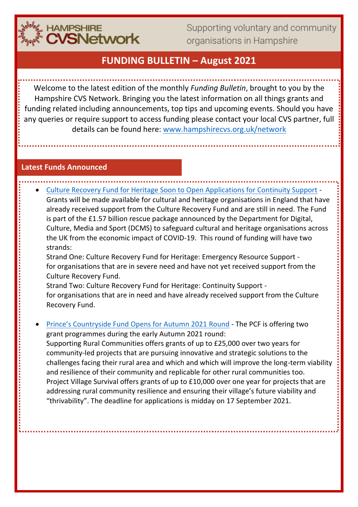

Supporting voluntary and community organisations in Hampshire

# **FUNDING BULLETIN – August 2021**

Welcome to the latest edition of the monthly *Funding Bulletin*, brought to you by the Hampshire CVS Network. Bringing you the latest information on all things grants and funding related including announcements, top tips and upcoming events. Should you have any queries or require support to access funding please contact your local CVS partner, full details can be found here: [www.hampshirecvs.org.uk/network](http://www.hampshirecvs.org.uk/network)

#### **Latest Funds Announced**

• [Culture Recovery Fund for Heritage Soon to Open Applications for Continuity Support](https://www.heritagefund.org.uk/funding/culture-recovery-fund-continuity-support) - Grants will be made available for cultural and heritage organisations in England that have already received support from the Culture Recovery Fund and are still in need. The Fund is part of the £1.57 billion rescue package announced by the Department for Digital, Culture, Media and Sport (DCMS) to safeguard cultural and heritage organisations across the UK from the economic impact of COVID-19. This round of funding will have two strands:

Strand One: Culture Recovery Fund for Heritage: Emergency Resource Support for organisations that are in severe need and have not yet received support from the Culture Recovery Fund.

Strand Two: Culture Recovery Fund for Heritage: Continuity Support for organisations that are in need and have already received support from the Culture Recovery Fund.

• [Prince's Countryside Fund Opens for Autumn 2021](https://www.princescountrysidefund.org.uk/) Round - The PCF is offering two grant programmes during the early Autumn 2021 round:

Supporting Rural Communities offers grants of up to £25,000 over two years for community-led projects that are pursuing innovative and strategic solutions to the challenges facing their rural area and which and which will improve the long-term viability and resilience of their community and replicable for other rural communities too. Project Village Survival offers grants of up to £10,000 over one year for projects that are addressing rural community resilience and ensuring their village's future viability and "thrivability". The deadline for applications is midday on 17 September 2021.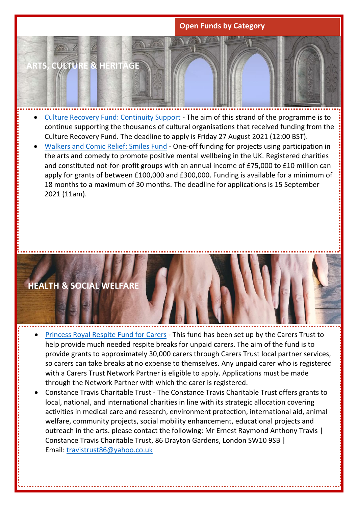### **Open Funds by Category**

**ARTS, CULTURE & HERITAGE**

- [Culture Recovery Fund: Continuity Support](https://www.artscouncil.org.uk/funding/culture-recovery-fund-continuity-support) The aim of this strand of the programme is to continue supporting the thousands of cultural organisations that received funding from the Culture Recovery Fund. The deadline to apply is Friday 27 August 2021 (12:00 BST).
- [Walkers and Comic Relief: Smiles Fund](https://www.comicrelief.com/funding/funding-opportunities/the-smiles-fund-by-walkers-and-comic-relief) One-off funding for projects using participation in the arts and comedy to promote positive mental wellbeing in the UK. Registered charities and constituted not-for-profit groups with an annual income of £75,000 to £10 million can apply for grants of between £100,000 and £300,000. Funding is available for a minimum of 18 months to a maximum of 30 months. The deadline for applications is 15 September 2021 (11am).

# **HEALTH & SOCIAL WELFARE**

- [Princess Royal Respite Fund for](https://carers.org/her-royal-highness-the-princess-royal-respite-fund-for-carers/respite-fund-faqs) Carers This fund has been set up by the Carers Trust to help provide much needed respite breaks for unpaid carers. The aim of the fund is to provide grants to approximately 30,000 carers through Carers Trust local partner services, so carers can take breaks at no expense to themselves. Any unpaid carer who is registered with a Carers Trust Network Partner is eligible to apply. Applications must be made through the Network Partner with which the carer is registered.
- Constance Travis Charitable Trust The Constance Travis Charitable Trust offers grants to local, national, and international charities in line with its strategic allocation covering activities in medical care and research, environment protection, international aid, animal welfare, community projects, social mobility enhancement, educational projects and outreach in the arts. please contact the following: Mr Ernest Raymond Anthony Travis | Constance Travis Charitable Trust, 86 Drayton Gardens, London SW10 9SB | Email: [travistrust86@yahoo.co.uk](mailto:travistrust86@yahoo.co.uk)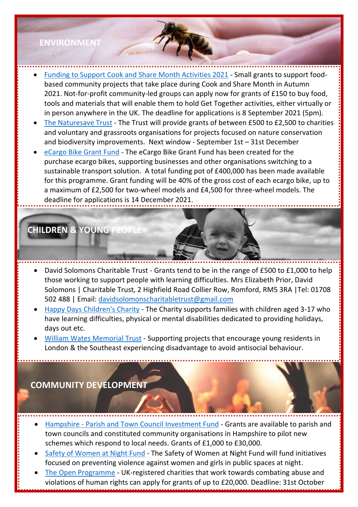### **ENVIRONMENT**

- [Funding to Support Cook and Share Month Activities 2021](https://www.fflgettogethers.org/support/) Small grants to support foodbased community projects that take place during Cook and Share Month in Autumn 2021. Not-for-profit community-led groups can apply now for grants of £150 to buy food, tools and materials that will enable them to hold Get Together activities, either virtually or in person anywhere in the UK. The deadline for applications is 8 September 2021 (5pm).
- The [Naturesave](https://www.naturesave.co.uk/naturesave-trust/) Trust The Trust will provide grants of between £500 to £2,500 to charities and voluntary and grassroots organisations for projects focused on nature conservation and biodiversity improvements. Next window - September 1st – 31st December
- eCargo [Bike Grant Fund](https://energysavingtrust.org.uk/grants-and-loans/ecargo-bike-fund/) The eCargo Bike Grant Fund has been created for the purchase ecargo bikes, supporting businesses and other organisations switching to a sustainable transport solution. A total funding pot of £400,000 has been made available for this programme. Grant funding will be 40% of the gross cost of each ecargo bike, up to a maximum of £2,500 for two-wheel models and £4,500 for three-wheel models. The deadline for applications is 14 December 2021.

# **CHILDREN & YOUNG PE**

- David Solomons Charitable Trust Grants tend to be in the range of £500 to £1,000 to help those working to support people with learning difficulties. Mrs Elizabeth Prior, David Solomons | Charitable Trust, 2 Highfield Road Collier Row, Romford, RM5 3RA |Tel: 01708 502 488 | Email: [davidsolomonscharitabletrust@gmail.com](mailto:davidsolomonscharitabletrust@gmail.com)
- [Happy Days Children's Charity](https://www.happydayscharity.org/applications) The Charity supports families with children aged 3-17 who have learning difficulties, physical or mental disabilities dedicated to providing holidays, days out etc.
- [William Wates Memorial Trust](https://wwmt.rideleloop.org/) Supporting projects that encourage young residents in London & the Southeast experiencing disadvantage to avoid antisocial behaviour.

### **COMMUNITY DEVELOPMENT**

2021.

- Hampshire [Parish and Town Council Investment Fund](https://www.hants.gov.uk/community/grants/grants-list/parish-town-council-investment-fund) Grants are available to parish and town councils and constituted community organisations in Hampshire to pilot new schemes which respond to local needs. Grants of £1,000 to £30,000.
- [Safety of Women at Night Fund](https://www.gov.uk/government/publications/safety-of-women-at-night-fund-application-process) The Safety of Women at Night Fund will fund initiatives focused on preventing violence against women and girls in public spaces at night.
- [The Open Programme](https://abcharitabletrust.org.uk/) UK-registered charities that work towards combating abuse and violations of human rights can apply for grants of up to £20,000. Deadline: 31st October